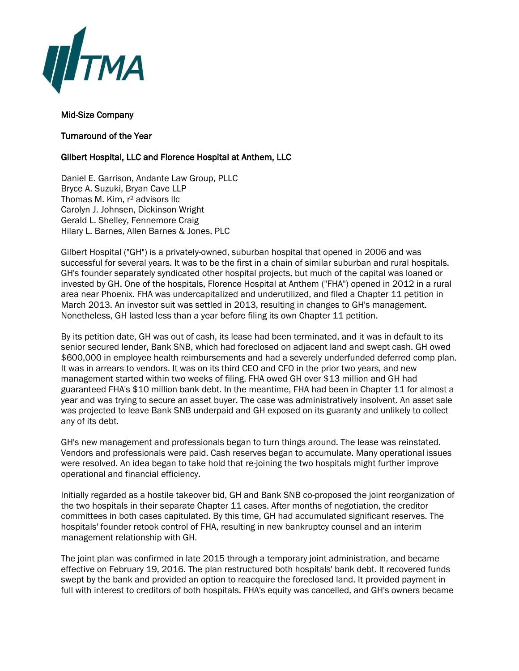

## Mid-Size Company

## Turnaround of the Year

## Gilbert Hospital, LLC and Florence Hospital at Anthem, LLC

Daniel E. Garrison, Andante Law Group, PLLC Bryce A. Suzuki, Bryan Cave LLP Thomas M. Kim, r<sup>2</sup> advisors llc Carolyn J. Johnsen, Dickinson Wright Gerald L. Shelley, Fennemore Craig Hilary L. Barnes, Allen Barnes & Jones, PLC

Gilbert Hospital ("GH") is a privately-owned, suburban hospital that opened in 2006 and was successful for several years. It was to be the first in a chain of similar suburban and rural hospitals. GH's founder separately syndicated other hospital projects, but much of the capital was loaned or invested by GH. One of the hospitals, Florence Hospital at Anthem ("FHA") opened in 2012 in a rural area near Phoenix. FHA was undercapitalized and underutilized, and filed a Chapter 11 petition in March 2013. An investor suit was settled in 2013, resulting in changes to GH's management. Nonetheless, GH lasted less than a year before filing its own Chapter 11 petition.

By its petition date, GH was out of cash, its lease had been terminated, and it was in default to its senior secured lender, Bank SNB, which had foreclosed on adjacent land and swept cash. GH owed \$600,000 in employee health reimbursements and had a severely underfunded deferred comp plan. It was in arrears to vendors. It was on its third CEO and CFO in the prior two years, and new management started within two weeks of filing. FHA owed GH over \$13 million and GH had guaranteed FHA's \$10 million bank debt. In the meantime, FHA had been in Chapter 11 for almost a year and was trying to secure an asset buyer. The case was administratively insolvent. An asset sale was projected to leave Bank SNB underpaid and GH exposed on its guaranty and unlikely to collect any of its debt.

GH's new management and professionals began to turn things around. The lease was reinstated. Vendors and professionals were paid. Cash reserves began to accumulate. Many operational issues were resolved. An idea began to take hold that re-joining the two hospitals might further improve operational and financial efficiency.

Initially regarded as a hostile takeover bid, GH and Bank SNB co-proposed the joint reorganization of the two hospitals in their separate Chapter 11 cases. After months of negotiation, the creditor committees in both cases capitulated. By this time, GH had accumulated significant reserves. The hospitals' founder retook control of FHA, resulting in new bankruptcy counsel and an interim management relationship with GH.

The joint plan was confirmed in late 2015 through a temporary joint administration, and became effective on February 19, 2016. The plan restructured both hospitals' bank debt. It recovered funds swept by the bank and provided an option to reacquire the foreclosed land. It provided payment in full with interest to creditors of both hospitals. FHA's equity was cancelled, and GH's owners became